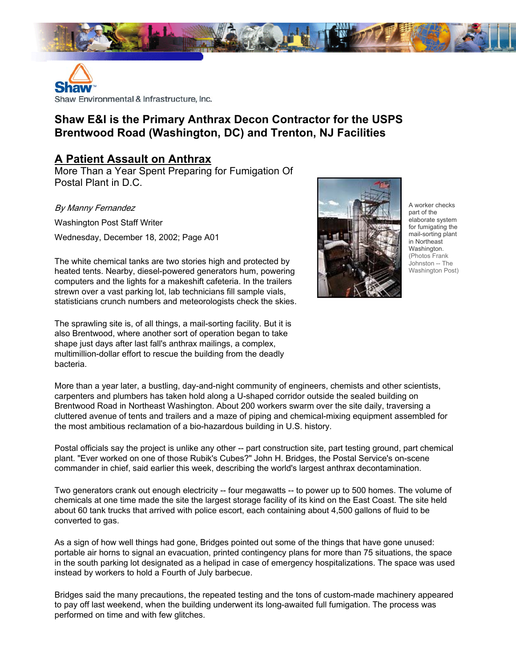



## **Shaw E&I is the Primary Anthrax Decon Contractor for the USPS Brentwood Road (Washington, DC) and Trenton, NJ Facilities**

## **A Patient Assault on Anthrax**

More Than a Year Spent Preparing for Fumigation Of Postal Plant in D.C.

By Manny Fernandez

Washington Post Staff Writer Wednesday, December 18, 2002; Page A01

The white chemical tanks are two stories high and protected by heated tents. Nearby, diesel-powered generators hum, powering computers and the lights for a makeshift cafeteria. In the trailers strewn over a vast parking lot, lab technicians fill sample vials, statisticians crunch numbers and meteorologists check the skies.

The sprawling site is, of all things, a mail-sorting facility. But it is also Brentwood, where another sort of operation began to take shape just days after last fall's anthrax mailings, a complex, multimillion-dollar effort to rescue the building from the deadly bacteria.



A worker checks part of the elaborate system for fumigating the mail-sorting plant in Northeast Washington. (Photos Frank Johnston -- The Washington Post)

More than a year later, a bustling, day-and-night community of engineers, chemists and other scientists, carpenters and plumbers has taken hold along a U-shaped corridor outside the sealed building on Brentwood Road in Northeast Washington. About 200 workers swarm over the site daily, traversing a cluttered avenue of tents and trailers and a maze of piping and chemical-mixing equipment assembled for the most ambitious reclamation of a bio-hazardous building in U.S. history.

Postal officials say the project is unlike any other -- part construction site, part testing ground, part chemical plant. "Ever worked on one of those Rubik's Cubes?" John H. Bridges, the Postal Service's on-scene commander in chief, said earlier this week, describing the world's largest anthrax decontamination.

Two generators crank out enough electricity -- four megawatts -- to power up to 500 homes. The volume of chemicals at one time made the site the largest storage facility of its kind on the East Coast. The site held about 60 tank trucks that arrived with police escort, each containing about 4,500 gallons of fluid to be converted to gas.

As a sign of how well things had gone, Bridges pointed out some of the things that have gone unused: portable air horns to signal an evacuation, printed contingency plans for more than 75 situations, the space in the south parking lot designated as a helipad in case of emergency hospitalizations. The space was used instead by workers to hold a Fourth of July barbecue.

Bridges said the many precautions, the repeated testing and the tons of custom-made machinery appeared to pay off last weekend, when the building underwent its long-awaited full fumigation. The process was performed on time and with few glitches.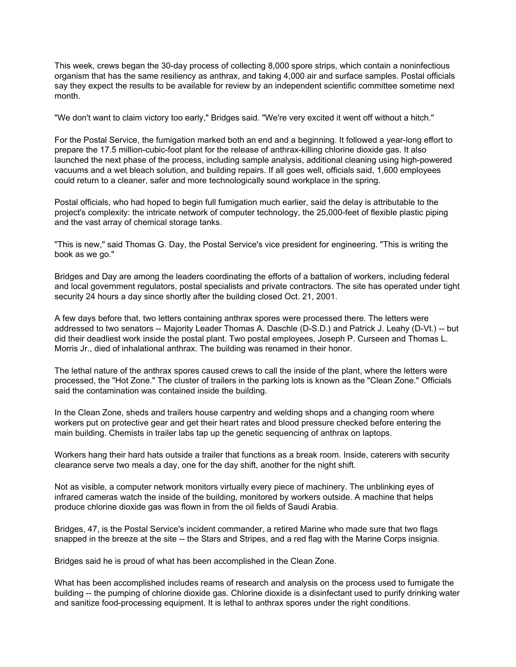This week, crews began the 30-day process of collecting 8,000 spore strips, which contain a noninfectious organism that has the same resiliency as anthrax, and taking 4,000 air and surface samples. Postal officials say they expect the results to be available for review by an independent scientific committee sometime next month.

"We don't want to claim victory too early," Bridges said. "We're very excited it went off without a hitch."

For the Postal Service, the fumigation marked both an end and a beginning. It followed a year-long effort to prepare the 17.5 million-cubic-foot plant for the release of anthrax-killing chlorine dioxide gas. It also launched the next phase of the process, including sample analysis, additional cleaning using high-powered vacuums and a wet bleach solution, and building repairs. If all goes well, officials said, 1,600 employees could return to a cleaner, safer and more technologically sound workplace in the spring.

Postal officials, who had hoped to begin full fumigation much earlier, said the delay is attributable to the project's complexity: the intricate network of computer technology, the 25,000-feet of flexible plastic piping and the vast array of chemical storage tanks.

"This is new," said Thomas G. Day, the Postal Service's vice president for engineering. "This is writing the book as we go."

Bridges and Day are among the leaders coordinating the efforts of a battalion of workers, including federal and local government regulators, postal specialists and private contractors. The site has operated under tight security 24 hours a day since shortly after the building closed Oct. 21, 2001.

A few days before that, two letters containing anthrax spores were processed there. The letters were addressed to two senators -- Majority Leader Thomas A. Daschle (D-S.D.) and Patrick J. Leahy (D-Vt.) -- but did their deadliest work inside the postal plant. Two postal employees, Joseph P. Curseen and Thomas L. Morris Jr., died of inhalational anthrax. The building was renamed in their honor.

The lethal nature of the anthrax spores caused crews to call the inside of the plant, where the letters were processed, the "Hot Zone." The cluster of trailers in the parking lots is known as the "Clean Zone." Officials said the contamination was contained inside the building.

In the Clean Zone, sheds and trailers house carpentry and welding shops and a changing room where workers put on protective gear and get their heart rates and blood pressure checked before entering the main building. Chemists in trailer labs tap up the genetic sequencing of anthrax on laptops.

Workers hang their hard hats outside a trailer that functions as a break room. Inside, caterers with security clearance serve two meals a day, one for the day shift, another for the night shift.

Not as visible, a computer network monitors virtually every piece of machinery. The unblinking eyes of infrared cameras watch the inside of the building, monitored by workers outside. A machine that helps produce chlorine dioxide gas was flown in from the oil fields of Saudi Arabia.

Bridges, 47, is the Postal Service's incident commander, a retired Marine who made sure that two flags snapped in the breeze at the site -- the Stars and Stripes, and a red flag with the Marine Corps insignia.

Bridges said he is proud of what has been accomplished in the Clean Zone.

What has been accomplished includes reams of research and analysis on the process used to fumigate the building -- the pumping of chlorine dioxide gas. Chlorine dioxide is a disinfectant used to purify drinking water and sanitize food-processing equipment. It is lethal to anthrax spores under the right conditions.